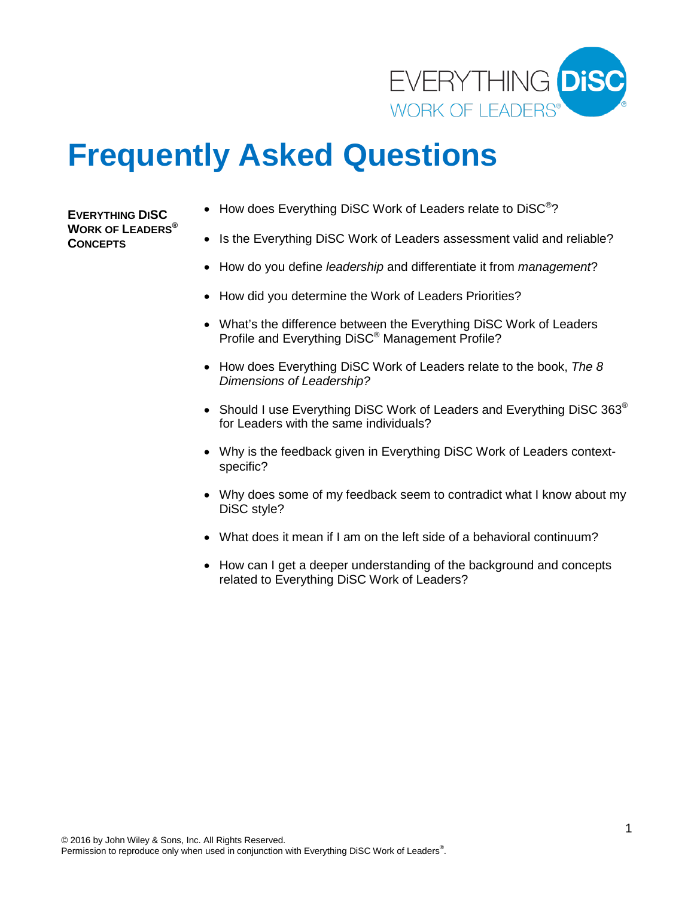

# **Frequently Asked Questions**

**EVERYTHING DISC WORK OF LEADERS® CONCEPTS**

- How does Everything DiSC Work of Leaders relate to DiSC<sup>®</sup>?
- Is the Everything DiSC Work of Leaders assessment valid and reliable?
- How do you define *leadership* and differentiate it from *management*?
- How did you determine the Work of Leaders Priorities?
- What's the difference between the Everything DiSC Work of Leaders Profile and Everything DiSC® Management Profile?
- How does Everything DiSC Work of Leaders relate to the book, *The 8 Dimensions of Leadership?*
- Should I use Everything DiSC Work of Leaders and Everything DiSC 363® for Leaders with the same individuals?
- Why is the feedback given in Everything DiSC Work of Leaders contextspecific?
- Why does some of my feedback seem to contradict what I know about my DiSC style?
- What does it mean if I am on the left side of a behavioral continuum?
- How can I get a deeper understanding of the background and concepts related to Everything DiSC Work of Leaders?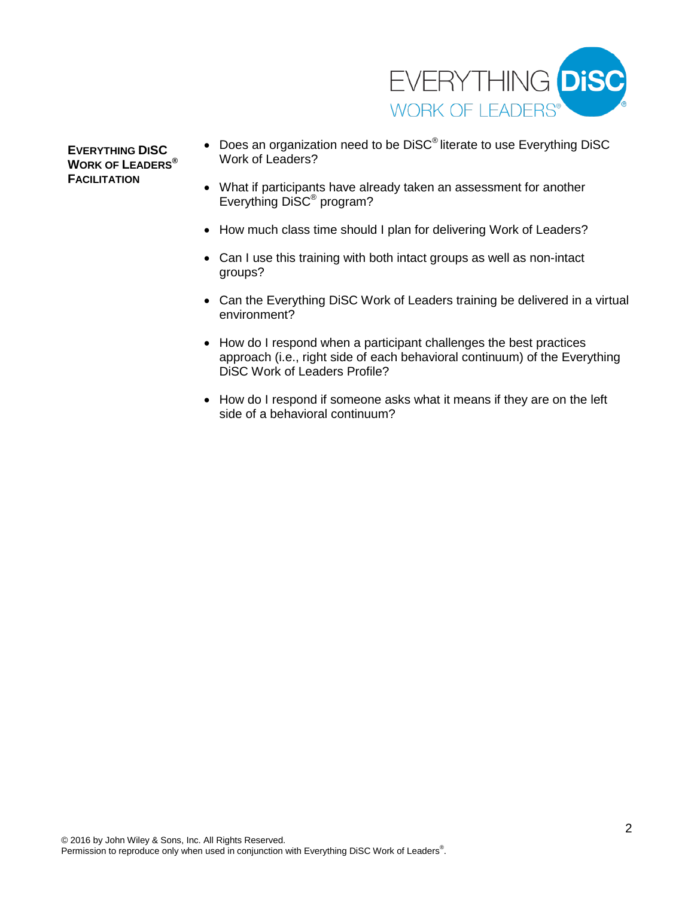

**EVERYTHING DISC WORK OF LEADERS® FACILITATION** 

- Does an organization need to be DiSC<sup>®</sup> literate to use Everything DiSC Work of Leaders?
- What if participants have already taken an assessment for another Everything DiSC® program?
- How much class time should I plan for delivering Work of Leaders?
- Can I use this training with both intact groups as well as non-intact groups?
- Can the Everything DiSC Work of Leaders training be delivered in a virtual environment?
- How do I respond when a participant challenges the best practices approach (i.e., right side of each behavioral continuum) of the Everything DiSC Work of Leaders Profile?
- How do I respond if someone asks what it means if they are on the left side of a behavioral continuum?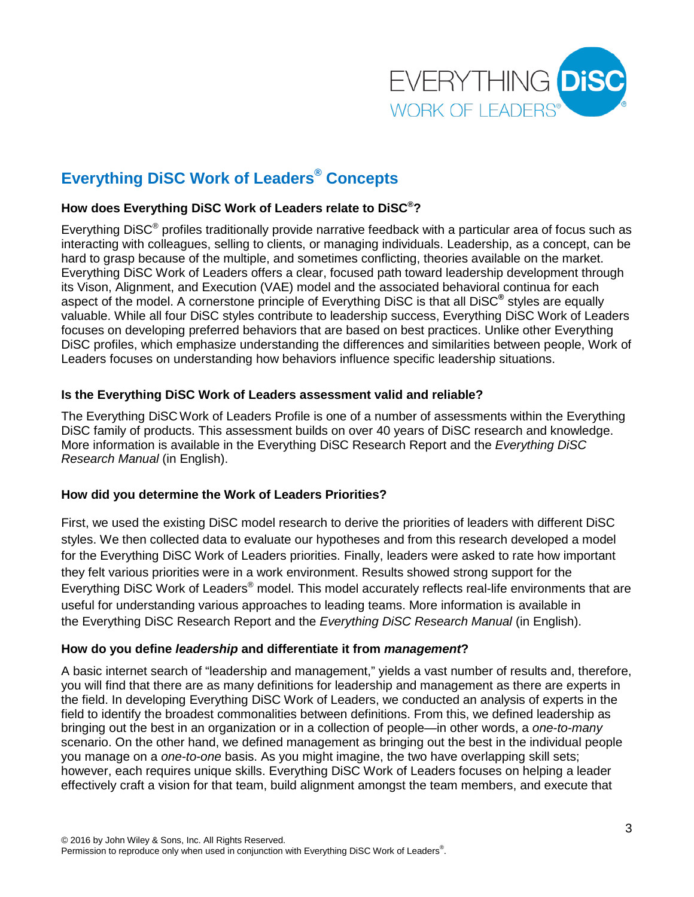

## **Everything DiSC Work of Leaders® Concepts**

#### **How does Everything DiSC Work of Leaders relate to DiSC®?**

Everything DiSC<sup>®</sup> profiles traditionally provide narrative feedback with a particular area of focus such as interacting with colleagues, selling to clients, or managing individuals. Leadership, as a concept, can be hard to grasp because of the multiple, and sometimes conflicting, theories available on the market. Everything DiSC Work of Leaders offers a clear, focused path toward leadership development through its Vison, Alignment, and Execution (VAE) model and the associated behavioral continua for each aspect of the model. A cornerstone principle of Everything DiSC is that all DiSC**®** styles are equally valuable. While all four DiSC styles contribute to leadership success, Everything DiSC Work of Leaders focuses on developing preferred behaviors that are based on best practices. Unlike other Everything DiSC profiles, which emphasize understanding the differences and similarities between people, Work of Leaders focuses on understanding how behaviors influence specific leadership situations.

#### **Is the Everything DiSC Work of Leaders assessment valid and reliable?**

The Everything DiSCWork of Leaders Profile is one of a number of assessments within the Everything DiSC family of products. This assessment builds on over 40 years of DiSC research and knowledge. More information is available in the Everything DiSC Research Report and the *Everything DiSC Research Manual* (in English).

#### **How did you determine the Work of Leaders Priorities?**

First, we used the existing DiSC model research to derive the priorities of leaders with different DiSC styles. We then collected data to evaluate our hypotheses and from this research developed a model for the Everything DiSC Work of Leaders priorities. Finally, leaders were asked to rate how important they felt various priorities were in a work environment. Results showed strong support for the Everything DiSC Work of Leaders<sup>®</sup> model. This model accurately reflects real-life environments that are useful for understanding various approaches to leading teams. More information is available in the Everything DiSC Research Report and the *Everything DiSC Research Manual* (in English).

#### **How do you define** *leadership* **and differentiate it from** *management***?**

A basic internet search of "leadership and management," yields a vast number of results and, therefore, you will find that there are as many definitions for leadership and management as there are experts in the field. In developing Everything DiSC Work of Leaders, we conducted an analysis of experts in the field to identify the broadest commonalities between definitions. From this, we defined leadership as bringing out the best in an organization or in a collection of people—in other words, a *one-to-many* scenario. On the other hand, we defined management as bringing out the best in the individual people you manage on a *one-to-one* basis. As you might imagine, the two have overlapping skill sets; however, each requires unique skills. Everything DiSC Work of Leaders focuses on helping a leader effectively craft a vision for that team, build alignment amongst the team members, and execute that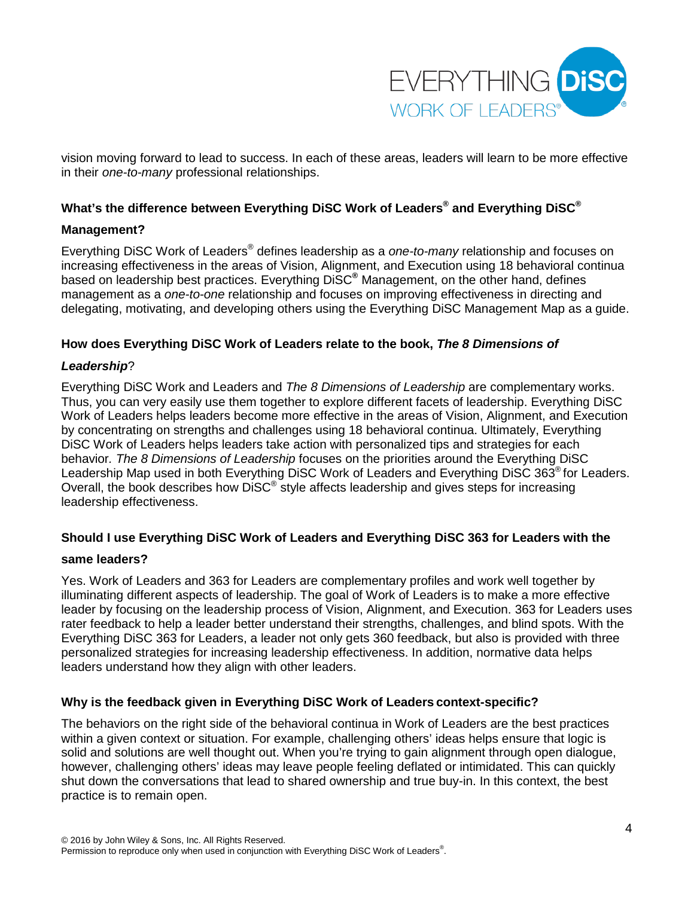

vision moving forward to lead to success. In each of these areas, leaders will learn to be more effective in their *one-to-many* professional relationships.

#### **What's the difference between Everything DiSC Work of Leaders® and Everything DiSC®**

#### **Management?**

Everything DiSC Work of Leaders® defines leadership as a *one-to-many* relationship and focuses on increasing effectiveness in the areas of Vision, Alignment, and Execution using 18 behavioral continua based on leadership best practices. Everything DiSC**®** Management, on the other hand, defines management as a *one-to-one* relationship and focuses on improving effectiveness in directing and delegating, motivating, and developing others using the Everything DiSC Management Map as a guide.

#### **How does Everything DiSC Work of Leaders relate to the book,** *The 8 Dimensions of*

#### *Leadership*?

Everything DiSC Work and Leaders and *The 8 Dimensions of Leadership* are complementary works. Thus, you can very easily use them together to explore different facets of leadership. Everything DiSC Work of Leaders helps leaders become more effective in the areas of Vision, Alignment, and Execution by concentrating on strengths and challenges using 18 behavioral continua. Ultimately, Everything DiSC Work of Leaders helps leaders take action with personalized tips and strategies for each behavior*. The 8 Dimensions of Leadership* focuses on the priorities around the Everything DiSC Leadership Map used in both Everything DiSC Work of Leaders and Everything DiSC 363<sup>®</sup> for Leaders. Overall, the book describes how DiSC® style affects leadership and gives steps for increasing leadership effectiveness.

#### **Should I use Everything DiSC Work of Leaders and Everything DiSC 363 for Leaders with the**

#### **same leaders?**

Yes. Work of Leaders and 363 for Leaders are complementary profiles and work well together by illuminating different aspects of leadership. The goal of Work of Leaders is to make a more effective leader by focusing on the leadership process of Vision, Alignment, and Execution. 363 for Leaders uses rater feedback to help a leader better understand their strengths, challenges, and blind spots. With the Everything DiSC 363 for Leaders, a leader not only gets 360 feedback, but also is provided with three personalized strategies for increasing leadership effectiveness. In addition, normative data helps leaders understand how they align with other leaders.

#### **Why is the feedback given in Everything DiSC Work of Leaders context-specific?**

The behaviors on the right side of the behavioral continua in Work of Leaders are the best practices within a given context or situation. For example, challenging others' ideas helps ensure that logic is solid and solutions are well thought out. When you're trying to gain alignment through open dialogue, however, challenging others' ideas may leave people feeling deflated or intimidated. This can quickly shut down the conversations that lead to shared ownership and true buy-in. In this context, the best practice is to remain open.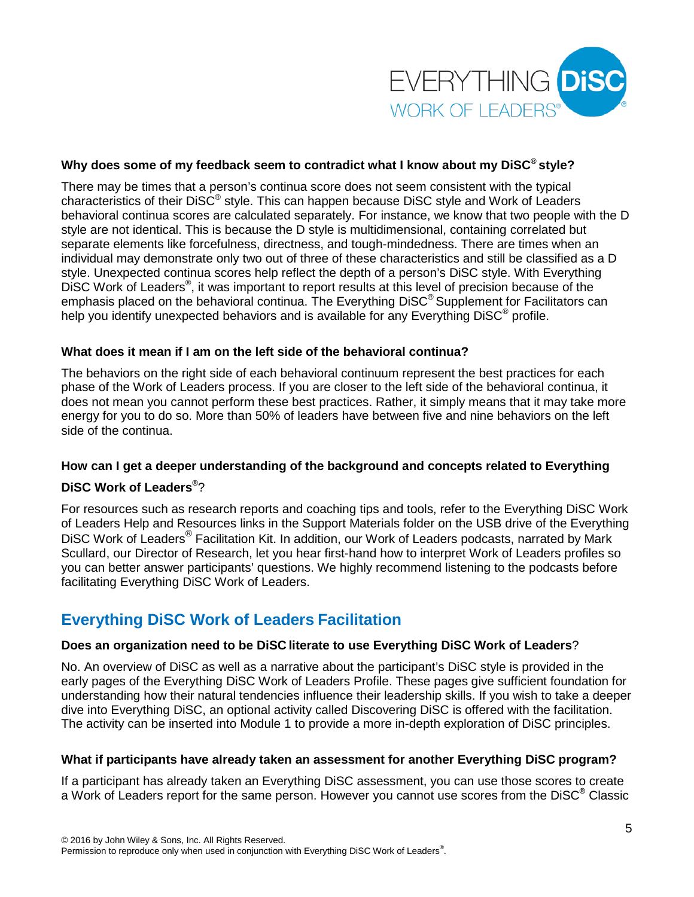

#### **Why does some of my feedback seem to contradict what I know about my DiSC® style?**

There may be times that a person's continua score does not seem consistent with the typical characteristics of their DiSC® style. This can happen because DiSC style and Work of Leaders behavioral continua scores are calculated separately. For instance, we know that two people with the D style are not identical. This is because the D style is multidimensional, containing correlated but separate elements like forcefulness, directness, and tough-mindedness. There are times when an individual may demonstrate only two out of three of these characteristics and still be classified as a D style. Unexpected continua scores help reflect the depth of a person's DiSC style. With Everything DISC Work of Leaders<sup>®</sup>, it was important to report results at this level of precision because of the emphasis placed on the behavioral continua. The Everything DiSC® Supplement for Facilitators can help you identify unexpected behaviors and is available for any Everything DiSC<sup>®</sup> profile.

#### **What does it mean if I am on the left side of the behavioral continua?**

The behaviors on the right side of each behavioral continuum represent the best practices for each phase of the Work of Leaders process. If you are closer to the left side of the behavioral continua, it does not mean you cannot perform these best practices. Rather, it simply means that it may take more energy for you to do so. More than 50% of leaders have between five and nine behaviors on the left side of the continua.

#### **How can I get a deeper understanding of the background and concepts related to Everything**

### **DiSC Work of Leaders®** ?

For resources such as research reports and coaching tips and tools, refer to the Everything DiSC Work of Leaders Help and Resources links in the Support Materials folder on the USB drive of the Everything DISC Work of Leaders<sup>®</sup> Facilitation Kit. In addition, our Work of Leaders podcasts, narrated by Mark Scullard, our Director of Research, let you hear first-hand how to interpret Work of Leaders profiles so you can better answer participants' questions. We highly recommend listening to the podcasts before facilitating Everything DiSC Work of Leaders.

## **Everything DiSC Work of Leaders Facilitation**

#### **Does an organization need to be DiSC literate to use Everything DiSC Work of Leaders**?

No. An overview of DiSC as well as a narrative about the participant's DiSC style is provided in the early pages of the Everything DiSC Work of Leaders Profile. These pages give sufficient foundation for understanding how their natural tendencies influence their leadership skills. If you wish to take a deeper dive into Everything DiSC, an optional activity called Discovering DiSC is offered with the facilitation. The activity can be inserted into Module 1 to provide a more in-depth exploration of DiSC principles.

#### **What if participants have already taken an assessment for another Everything DiSC program?**

If a participant has already taken an Everything DiSC assessment, you can use those scores to create a Work of Leaders report for the same person. However you cannot use scores from the DiSC**®** Classic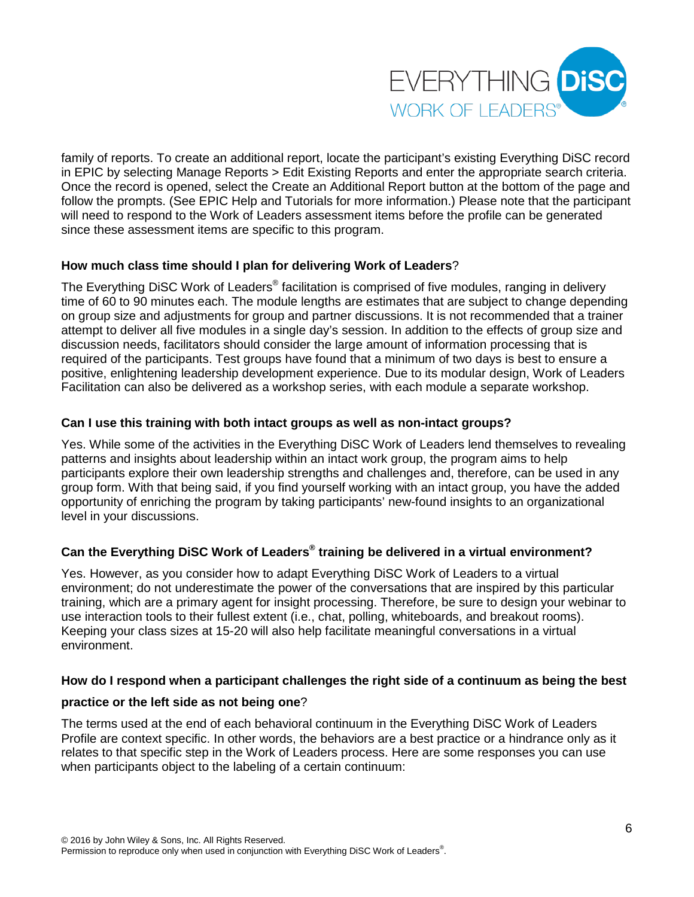

family of reports. To create an additional report, locate the participant's existing Everything DiSC record in EPIC by selecting Manage Reports > Edit Existing Reports and enter the appropriate search criteria. Once the record is opened, select the Create an Additional Report button at the bottom of the page and follow the prompts. (See EPIC Help and Tutorials for more information.) Please note that the participant will need to respond to the Work of Leaders assessment items before the profile can be generated since these assessment items are specific to this program.

#### **How much class time should I plan for delivering Work of Leaders**?

The Everything DiSC Work of Leaders<sup>®</sup> facilitation is comprised of five modules, ranging in delivery time of 60 to 90 minutes each. The module lengths are estimates that are subject to change depending on group size and adjustments for group and partner discussions. It is not recommended that a trainer attempt to deliver all five modules in a single day's session. In addition to the effects of group size and discussion needs, facilitators should consider the large amount of information processing that is required of the participants. Test groups have found that a minimum of two days is best to ensure a positive, enlightening leadership development experience. Due to its modular design, Work of Leaders Facilitation can also be delivered as a workshop series, with each module a separate workshop.

#### **Can I use this training with both intact groups as well as non-intact groups?**

Yes. While some of the activities in the Everything DiSC Work of Leaders lend themselves to revealing patterns and insights about leadership within an intact work group, the program aims to help participants explore their own leadership strengths and challenges and, therefore, can be used in any group form. With that being said, if you find yourself working with an intact group, you have the added opportunity of enriching the program by taking participants' new-found insights to an organizational level in your discussions.

#### **Can the Everything DiSC Work of Leaders® training be delivered in a virtual environment?**

Yes. However, as you consider how to adapt Everything DiSC Work of Leaders to a virtual environment; do not underestimate the power of the conversations that are inspired by this particular training, which are a primary agent for insight processing. Therefore, be sure to design your webinar to use interaction tools to their fullest extent (i.e., chat, polling, whiteboards, and breakout rooms). Keeping your class sizes at 15-20 will also help facilitate meaningful conversations in a virtual environment.

#### **How do I respond when a participant challenges the right side of a continuum as being the best**

#### **practice or the left side as not being one**?

The terms used at the end of each behavioral continuum in the Everything DiSC Work of Leaders Profile are context specific. In other words, the behaviors are a best practice or a hindrance only as it relates to that specific step in the Work of Leaders process. Here are some responses you can use when participants object to the labeling of a certain continuum: